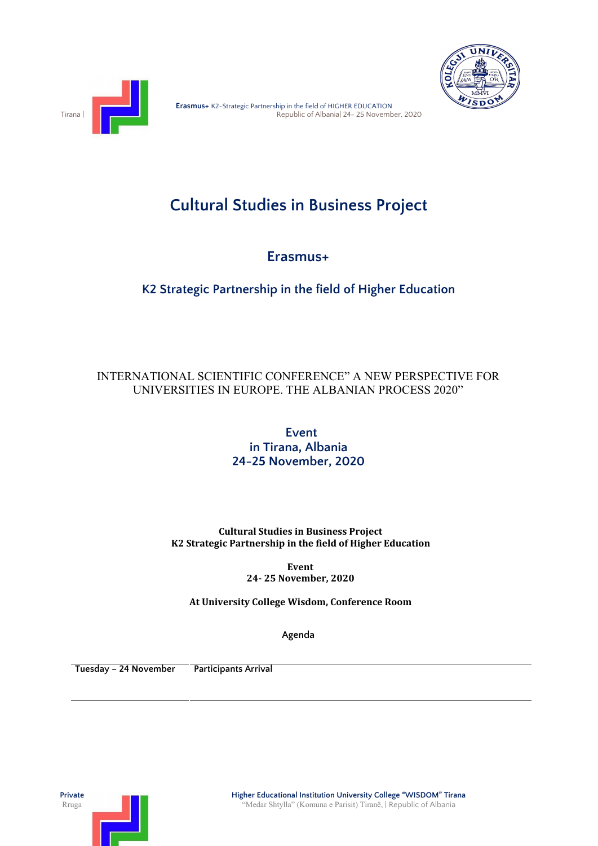



## **Cultural Studies in Business Project**

**Erasmus+**

**K2 Strategic Partnership in the field of Higher Education**

## INTERNATIONAL SCIENTIFIC CONFERENCE" A NEW PERSPECTIVE FOR UNIVERSITIES IN EUROPE. THE ALBANIAN PROCESS 2020"

**Event in Tirana, Albania 24-25 November, 2020**

**Cultural Studies in Business Project K2 Strategic Partnership in the field of Higher Education**

> **Event 24- 25 November, 2020**

**At University College Wisdom, Conference Room**

**Agenda**

**Tuesday – 24 November Participants Arrival**

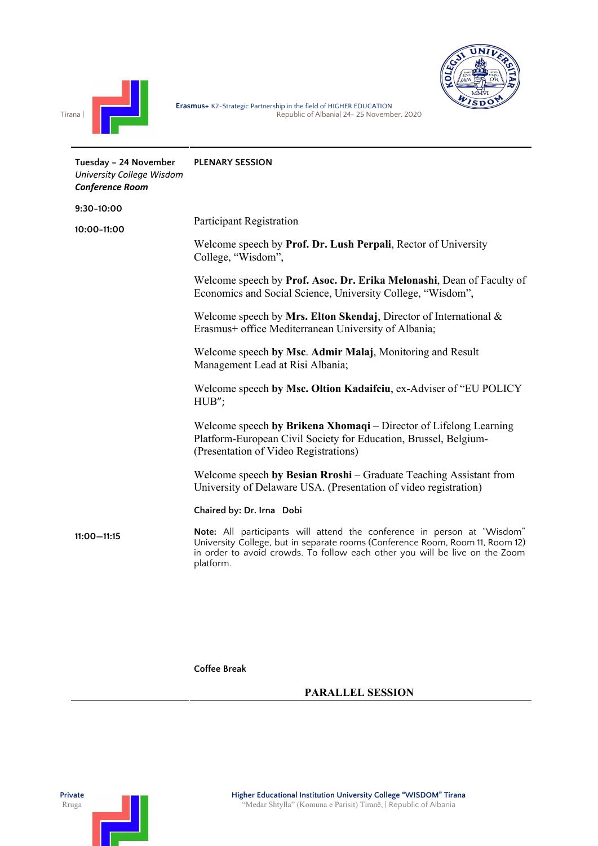



| Tuesday - 24 November<br>University College Wisdom<br><b>Conference Room</b> | <b>PLENARY SESSION</b>                                                                                                                                                                                                                               |
|------------------------------------------------------------------------------|------------------------------------------------------------------------------------------------------------------------------------------------------------------------------------------------------------------------------------------------------|
| $9:30-10:00$                                                                 |                                                                                                                                                                                                                                                      |
| $10:00 - 11:00$                                                              | Participant Registration                                                                                                                                                                                                                             |
|                                                                              | Welcome speech by <b>Prof. Dr. Lush Perpali</b> , Rector of University<br>College, "Wisdom",                                                                                                                                                         |
|                                                                              | Welcome speech by Prof. Asoc. Dr. Erika Melonashi, Dean of Faculty of<br>Economics and Social Science, University College, "Wisdom",                                                                                                                 |
|                                                                              | Welcome speech by Mrs. Elton Skendaj, Director of International $\&$<br>Erasmus+ office Mediterranean University of Albania;                                                                                                                         |
|                                                                              | Welcome speech by Msc. Admir Malaj, Monitoring and Result<br>Management Lead at Risi Albania;                                                                                                                                                        |
|                                                                              | Welcome speech by Msc. Oltion Kadaifciu, ex-Adviser of "EU POLICY"<br>HUB";                                                                                                                                                                          |
|                                                                              | Welcome speech by Brikena Xhomaqi – Director of Lifelong Learning<br>Platform-European Civil Society for Education, Brussel, Belgium-<br>(Presentation of Video Registrations)                                                                       |
|                                                                              | Welcome speech by Besian Rroshi – Graduate Teaching Assistant from<br>University of Delaware USA. (Presentation of video registration)                                                                                                               |
|                                                                              | Chaired by: Dr. Irna Dobi                                                                                                                                                                                                                            |
| $11:00 - 11:15$                                                              | Note: All participants will attend the conference in person at "Wisdom"<br>University College, but in separate rooms (Conference Room, Room 11, Room 12)<br>in order to avoid crowds. To follow each other you will be live on the Zoom<br>platform. |
|                                                                              |                                                                                                                                                                                                                                                      |

**Coffee Break**

## **PARALLEL SESSION**

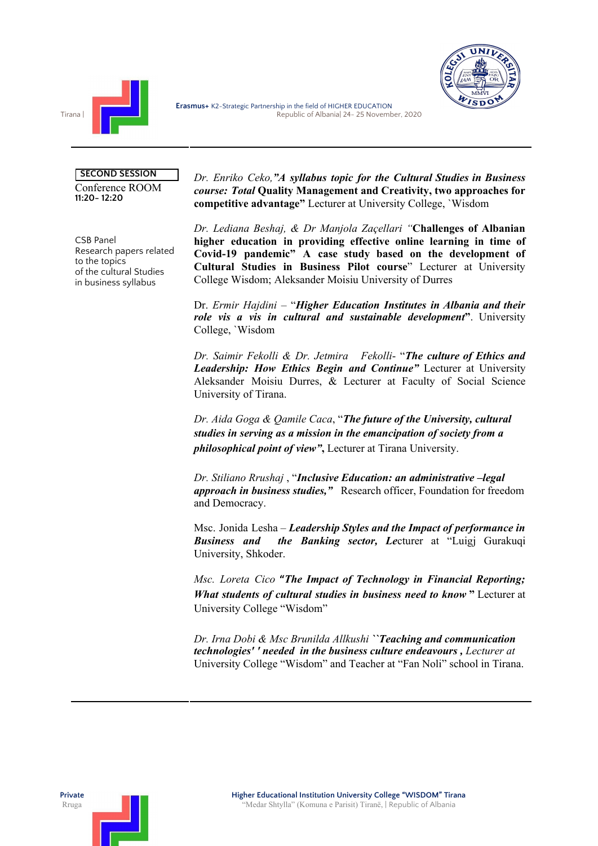



## **SECOND SESSION**

Conference ROOM **11:20- 12:20**

CSB Panel Research papers related to the topics of the cultural Studies in business syllabus

*Dr. Enriko Ceko,"A syllabus topic for the Cultural Studies in Business course: Total* **Quality Management and Creativity, two approaches for competitive advantage"** Lecturer at University College, `Wisdom

*Dr. Lediana Beshaj, & Dr Manjola Zaçellari "***Challenges of Albanian higher education in providing effective online learning in time of Covid-19 pandemic" A case study based on the development of Cultural Studies in Business Pilot course**" Lecturer at University College Wisdom; Aleksander Moisiu University of Durres

Dr. *Ermir Hajdini* – "*Higher Education Institutes in Albania and their role vis a vis in cultural and sustainable development***"**. University College, `Wisdom

*Dr. Saimir Fekolli & Dr. Jetmira Fekolli*- "*The culture of Ethics and Leadership: How Ethics Begin and Continue"* Lecturer at University Aleksander Moisiu Durres, & Lecturer at Faculty of Social Science University of Tirana.

*Dr. Aida Goga & Qamile Caca*, "*The future of the University, cultural studies in serving as a mission in the emancipation of society from a philosophical point of view"***,** Lecturer at Tirana University.

*Dr. Stiliano Rrushaj* , "*Inclusive Education: an administrative –legal approach in business studies,"* Research officer, Foundation for freedom and Democracy.

Msc. Jonida Lesha – *Leadership Styles and the Impact of performance in Business and the Banking sector, Le*cturer at "Luigj Gurakuqi University, Shkoder.

*Msc. Loreta Cico* **"***The Impact of Technology in Financial Reporting; What students of cultural studies in business need to know* **"** Lecturer at University College "Wisdom"

*Dr. Irna Dobi & Msc Brunilda Allkushi ``Teaching and communication technologies' ' needed in the business culture endeavours , Lecturer at* University College "Wisdom" and Teacher at "Fan Noli" school in Tirana.

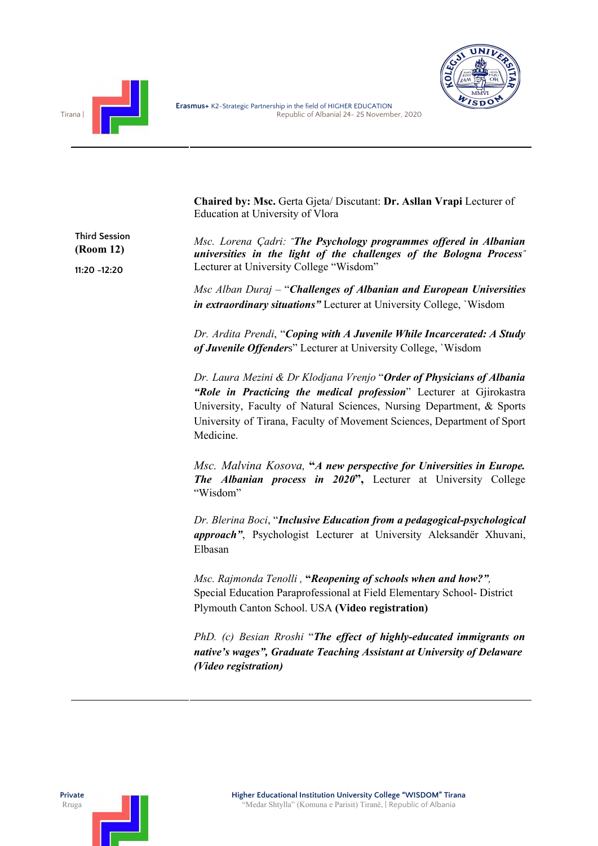



**Chaired by: Msc.** Gerta Gjeta/ Discutant: **Dr. Asllan Vrapi** Lecturer of Education at University of Vlora

**Third Session (Room 12) 11:20 -12:20** *Msc. Lorena Çadri: "The Psychology programmes of ered in Albanian universities in the light of the challenges of the Bologna Process"* Lecturer at University College "Wisdom" *Msc Alban Duraj* – "*Challenges of Albanian and European Universities in extraordinary situations"* Lecturer at University College, `Wisdom *Dr. Ardita Prendi*, "*Coping with A Juvenile While Incarcerated: A Study of Juvenile Offenders* Lecturer at University College, `Wisdom *Dr. Laura Mezini & Dr Klodjana Vrenjo* "*Order of Physicians of Albania "Role in Practicing the medical profession*" Lecturer at Gjirokastra University, Faculty of Natural Sciences, Nursing Department, & Sports University of Tirana, Faculty of Movement Sciences, Department of Sport Medicine. *Msc. Malvina Kosova,* **"***A new perspective for Universities in Europe. The Albanian process in 2020***",** Lecturer at University College "Wisdom" *Dr. Blerina Boci*, "*Inclusive Education from a pedagogical-psychological approach"*, Psychologist Lecturer at University Aleksandër Xhuvani, Elbasan *Msc. Rajmonda Tenolli ,* **"***Reopening of schools when and how?",* Special Education Paraprofessional at Field Elementary School- District Plymouth Canton School. USA **(Video registration)** *PhD. (c) Besian Rroshi* "*The ef ect of highly-educated immigrants on native's wages", Graduate Teaching Assistant at University of Delaware (Video registration)*

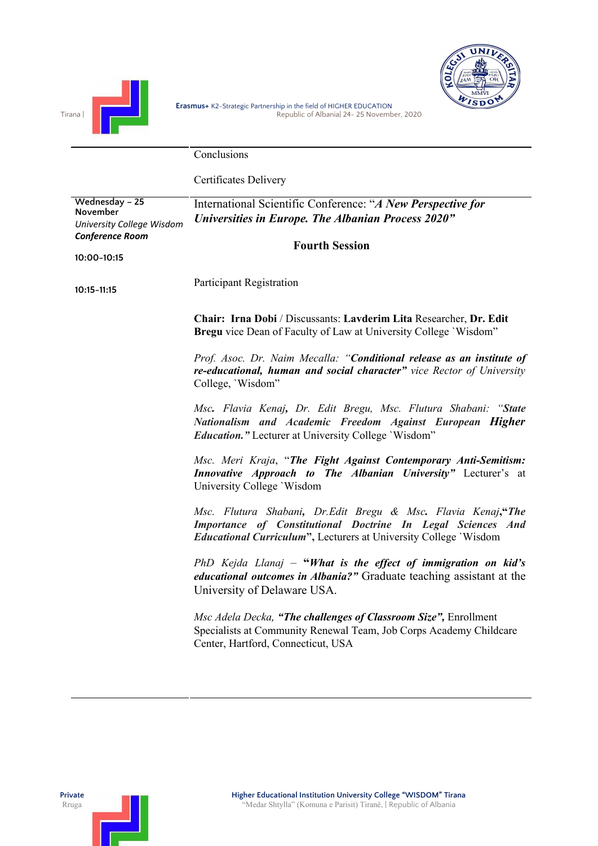

**Conclusions** 

Certificates Delivery

| Wednesday - 25<br>November<br>University College Wisdom<br><b>Conference Room</b> | International Scientific Conference: "A New Perspective for<br>Universities in Europe. The Albanian Process 2020"<br><b>Fourth Session</b>                                                              |
|-----------------------------------------------------------------------------------|---------------------------------------------------------------------------------------------------------------------------------------------------------------------------------------------------------|
| 10:00-10:15                                                                       |                                                                                                                                                                                                         |
| $10:15 - 11:15$                                                                   | <b>Participant Registration</b>                                                                                                                                                                         |
|                                                                                   | Chair: Irna Dobi / Discussants: Lavderim Lita Researcher, Dr. Edit<br>Bregu vice Dean of Faculty of Law at University College 'Wisdom"                                                                  |
|                                                                                   | Prof. Asoc. Dr. Naim Mecalla: "Conditional release as an institute of<br>re-educational, human and social character" vice Rector of University<br>College, 'Wisdom"                                     |
|                                                                                   | Msc. Flavia Kenaj, Dr. Edit Bregu, Msc. Flutura Shabani: "State<br>Nationalism and Academic Freedom Against European Higher<br><b>Education.</b> " Lecturer at University College 'Wisdom"              |
|                                                                                   | Msc. Meri Kraja, "The Fight Against Contemporary Anti-Semitism:<br>Innovative Approach to The Albanian University" Lecturer's at<br>University College `Wisdom                                          |
|                                                                                   | Msc. Flutura Shabani, Dr.Edit Bregu & Msc. Flavia Kenaj,"The<br>Importance of Constitutional Doctrine In Legal Sciences And<br><i>Educational Curriculum"</i> , Lecturers at University College 'Wisdom |
|                                                                                   | PhD Kejda Llanaj – "What is the effect of immigration on kid's<br><i>educational outcomes in Albania?"</i> Graduate teaching assistant at the<br>University of Delaware USA.                            |
|                                                                                   | Msc Adela Decka, "The challenges of Classroom Size", Enrollment<br>Specialists at Community Renewal Team, Job Corps Academy Childcare<br>Center, Hartford, Connecticut, USA                             |